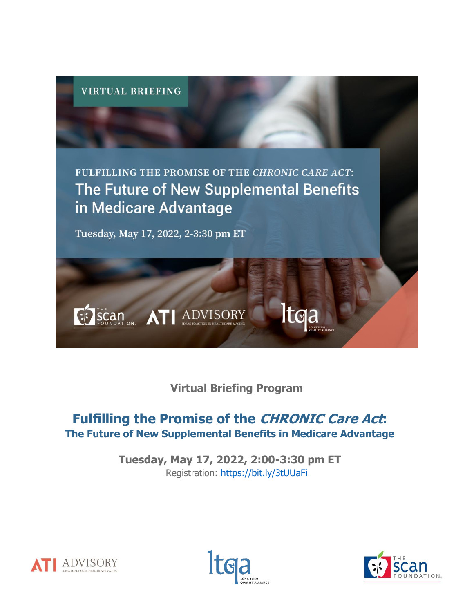

**Virtual Briefing Program**

# **Fulfilling the Promise of the CHRONIC Care Act: The Future of New Supplemental Benefits in Medicare Advantage**

**Tuesday, May 17, 2022, 2:00-3:30 pm ET** Registration:<https://bit.ly/3tUUaFi>





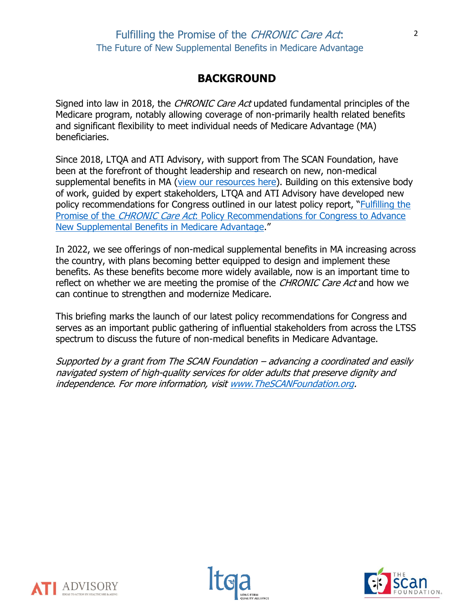## **BACKGROUND**

Signed into law in 2018, the *CHRONIC Care Act* updated fundamental principles of the Medicare program, notably allowing coverage of non-primarily health related benefits and significant flexibility to meet individual needs of Medicare Advantage (MA) beneficiaries.

Since 2018, LTQA and ATI Advisory, with support from The SCAN Foundation, have been at the forefront of thought leadership and research on new, non-medical supplemental benefits in MA [\(view our resources here\)](https://atiadvisory.com/advancing-non-medical-supplemental-benefits-in-medicare-advantage/). Building on this extensive body of work, guided by expert stakeholders, LTQA and ATI Advisory have developed new policy recommendations for Congress outlined in our latest policy report, "[Fulfilling the](https://atiadvisory.com/wp-content/uploads/2022/05/Fulfilling-the-Promise-of-the-CHRONIC-Care-Act-Policy-Recommendations.pdf)  Promise of the *CHRONIC Care Act*: Policy Recommendations for Congress to Advance [New Supplemental Benefits in Medicare Advantage](https://atiadvisory.com/wp-content/uploads/2022/05/Fulfilling-the-Promise-of-the-CHRONIC-Care-Act-Policy-Recommendations.pdf)."

In 2022, we see offerings of non-medical supplemental benefits in MA increasing across the country, with plans becoming better equipped to design and implement these benefits. As these benefits become more widely available, now is an important time to reflect on whether we are meeting the promise of the *CHRONIC Care Act* and how we can continue to strengthen and modernize Medicare.

This briefing marks the launch of our latest policy recommendations for Congress and serves as an important public gathering of influential stakeholders from across the LTSS spectrum to discuss the future of non-medical benefits in Medicare Advantage.

Supported by a grant from The SCAN Foundation – advancing a coordinated and easily navigated system of high-quality services for older adults that preserve dignity and independence. For more information, visi[t www.TheSCANFoundation.org.](http://www.thescanfoundation.org/)





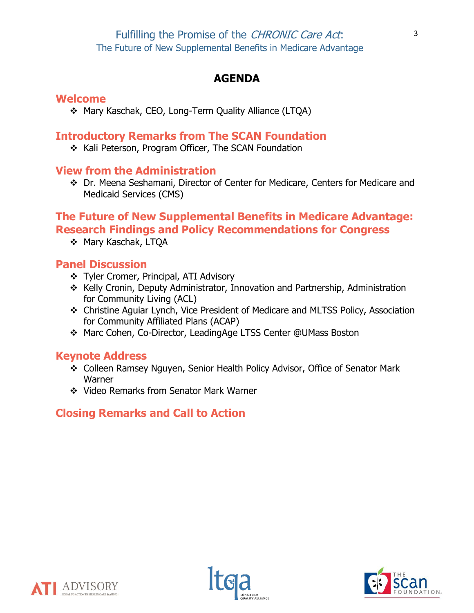## **AGENDA**

### **Welcome**

❖ Mary Kaschak, CEO, Long-Term Quality Alliance (LTQA)

## **Introductory Remarks from The SCAN Foundation**

❖ Kali Peterson, Program Officer, The SCAN Foundation

## **View from the Administration**

❖ Dr. Meena Seshamani, Director of Center for Medicare, Centers for Medicare and Medicaid Services (CMS)

## **The Future of New Supplemental Benefits in Medicare Advantage: Research Findings and Policy Recommendations for Congress**

❖ Mary Kaschak, LTQA

## **Panel Discussion**

- ❖ Tyler Cromer, Principal, ATI Advisory
- ❖ Kelly Cronin, Deputy Administrator, Innovation and Partnership, Administration for Community Living (ACL)
- ❖ Christine Aguiar Lynch, Vice President of Medicare and MLTSS Policy, Association for Community Affiliated Plans (ACAP)
- ❖ Marc Cohen, Co-Director, LeadingAge LTSS Center @UMass Boston

## **Keynote Address**

- ❖ Colleen Ramsey Nguyen, Senior Health Policy Advisor, Office of Senator Mark **Warner**
- ❖ Video Remarks from Senator Mark Warner

## **Closing Remarks and Call to Action**





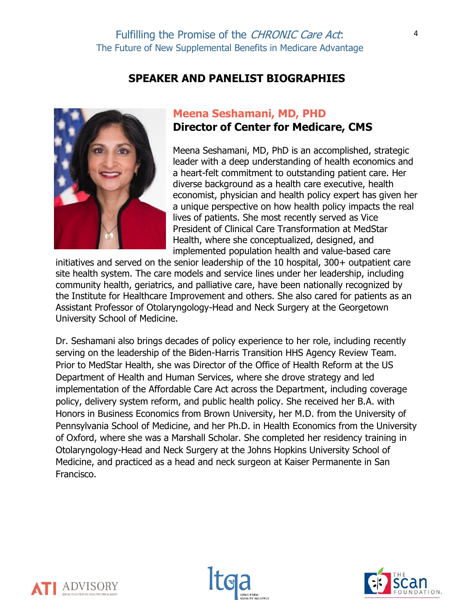#### **SPEAKER AND PANELIST BIOGRAPHIES**



### **Meena Seshamani, MD, PHD Director of Center for Medicare, CMS**

Meena Seshamani, MD, PhD is an accomplished, strategic leader with a deep understanding of health economics and a heart-felt commitment to outstanding patient care. Her diverse background as a health care executive, health economist, physician and health policy expert has given her a unique perspective on how health policy impacts the real lives of patients. She most recently served as Vice President of Clinical Care Transformation at MedStar Health, where she conceptualized, designed, and implemented population health and value-based care

initiatives and served on the senior leadership of the 10 hospital, 300+ outpatient care site health system. The care models and service lines under her leadership, including community health, geriatrics, and palliative care, have been nationally recognized by the Institute for Healthcare Improvement and others. She also cared for patients as an Assistant Professor of Otolaryngology-Head and Neck Surgery at the Georgetown University School of Medicine.

Dr. Seshamani also brings decades of policy experience to her role, including recently serving on the leadership of the Biden-Harris Transition HHS Agency Review Team. Prior to MedStar Health, she was Director of the Office of Health Reform at the US Department of Health and Human Services, where she drove strategy and led implementation of the Affordable Care Act across the Department, including coverage policy, delivery system reform, and public health policy. She received her B.A. with Honors in Business Economics from Brown University, her M.D. from the University of Pennsylvania School of Medicine, and her Ph.D. in Health Economics from the University of Oxford, where she was a Marshall Scholar. She completed her residency training in Otolaryngology-Head and Neck Surgery at the Johns Hopkins University School of Medicine, and practiced as a head and neck surgeon at Kaiser Permanente in San Francisco.





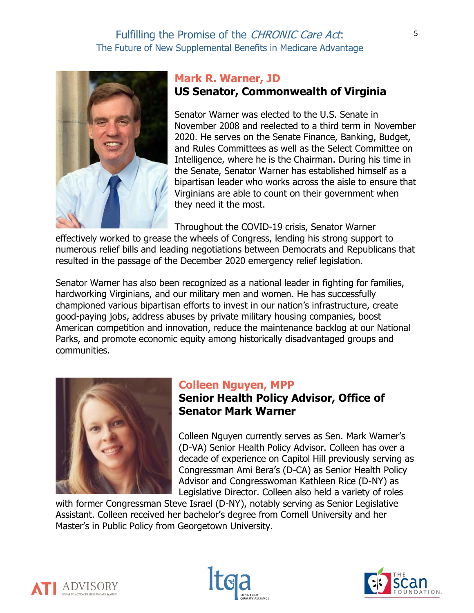

## **Mark R. Warner, JD US Senator, Commonwealth of Virginia**

Senator Warner was elected to the U.S. Senate in November 2008 and reelected to a third term in November 2020. He serves on the Senate Finance, Banking, Budget, and Rules Committees as well as the Select Committee on Intelligence, where he is the Chairman. During his time in the Senate, Senator Warner has established himself as a bipartisan leader who works across the aisle to ensure that Virginians are able to count on their government when they need it the most.

Throughout the COVID-19 crisis, Senator Warner

effectively worked to grease the wheels of Congress, lending his strong support to numerous relief bills and leading negotiations between Democrats and Republicans that resulted in the passage of the December 2020 emergency relief legislation.

Senator Warner has also been recognized as a national leader in fighting for families, hardworking Virginians, and our military men and women. He has successfully championed various bipartisan efforts to invest in our nation's infrastructure, create good-paying jobs, address abuses by private military housing companies, boost American competition and innovation, reduce the maintenance backlog at our National Parks, and promote economic equity among historically disadvantaged groups and communities.



### **Colleen Nguyen, MPP**

## **Senior Health Policy Advisor, Office of Senator Mark Warner**

Colleen Nguyen currently serves as Sen. Mark Warner's (D-VA) Senior Health Policy Advisor. Colleen has over a decade of experience on Capitol Hill previously serving as Congressman Ami Bera's (D-CA) as Senior Health Policy Advisor and Congresswoman Kathleen Rice (D-NY) as Legislative Director. Colleen also held a variety of roles

with former Congressman Steve Israel (D-NY), notably serving as Senior Legislative Assistant. Colleen received her bachelor's degree from Cornell University and her Master's in Public Policy from Georgetown University.





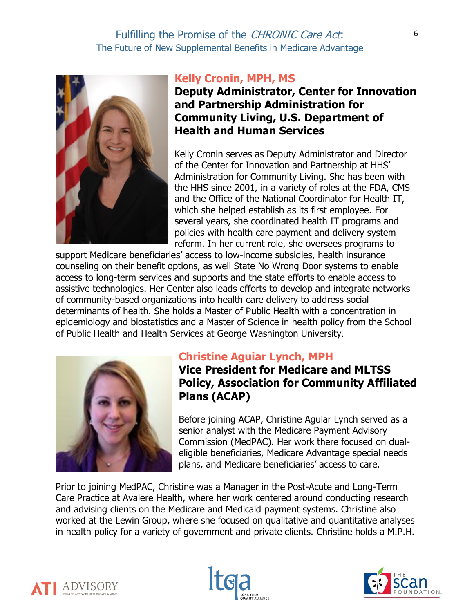

#### **Kelly Cronin, MPH, MS**

**Deputy Administrator, Center for Innovation and Partnership Administration for Community Living, U.S. Department of Health and Human Services**

Kelly Cronin serves as Deputy Administrator and Director of the Center for Innovation and Partnership at HHS' Administration for Community Living. She has been with the HHS since 2001, in a variety of roles at the FDA, CMS and the Office of the National Coordinator for Health IT, which she helped establish as its first employee. For several years, she coordinated health IT programs and policies with health care payment and delivery system reform. In her current role, she oversees programs to

support Medicare beneficiaries' access to low-income subsidies, health insurance counseling on their benefit options, as well State No Wrong Door systems to enable access to long-term services and supports and the state efforts to enable access to assistive technologies. Her Center also leads efforts to develop and integrate networks of community-based organizations into health care delivery to address social determinants of health. She holds a Master of Public Health with a concentration in epidemiology and biostatistics and a Master of Science in health policy from the School of Public Health and Health Services at George Washington University.



### **Christine Aguiar Lynch, MPH**

**Vice President for Medicare and MLTSS Policy, Association for Community Affiliated Plans (ACAP)**

Before joining ACAP, Christine Aguiar Lynch served as a senior analyst with the Medicare Payment Advisory Commission (MedPAC). Her work there focused on dualeligible beneficiaries, Medicare Advantage special needs plans, and Medicare beneficiaries' access to care.

Prior to joining MedPAC, Christine was a Manager in the Post-Acute and Long-Term Care Practice at Avalere Health, where her work centered around conducting research and advising clients on the Medicare and Medicaid payment systems. Christine also worked at the Lewin Group, where she focused on qualitative and quantitative analyses in health policy for a variety of government and private clients. Christine holds a M.P.H.





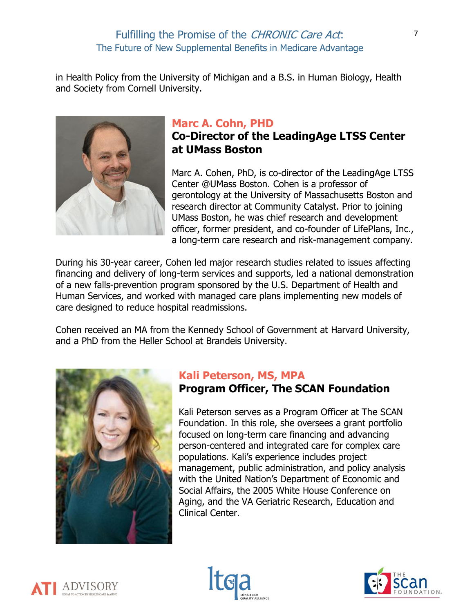in Health Policy from the University of Michigan and a B.S. in Human Biology, Health and Society from Cornell University.



## **Marc A. Cohn, PHD**

## **Co-Director of the LeadingAge LTSS Center at UMass Boston**

Marc A. Cohen, PhD, is co-director of the LeadingAge LTSS Center @UMass Boston. Cohen is a professor of gerontology at the University of Massachusetts Boston and research director at Community Catalyst. Prior to joining UMass Boston, he was chief research and development officer, former president, and co-founder of LifePlans, Inc., a long-term care research and risk-management company.

During his 30-year career, Cohen led major research studies related to issues affecting financing and delivery of long-term services and supports, led a national demonstration of a new falls-prevention program sponsored by the U.S. Department of Health and Human Services, and worked with managed care plans implementing new models of care designed to reduce hospital readmissions.

Cohen received an MA from the Kennedy School of Government at Harvard University, and a PhD from the Heller School at Brandeis University.



### **Kali Peterson, MS, MPA Program Officer, The SCAN Foundation**

Kali Peterson serves as a Program Officer at The SCAN Foundation. In this role, she oversees a grant portfolio focused on long-term care financing and advancing person-centered and integrated care for complex care populations. Kali's experience includes project management, public administration, and policy analysis with the United Nation's Department of Economic and Social Affairs, the 2005 White House Conference on Aging, and the VA Geriatric Research, Education and Clinical Center.





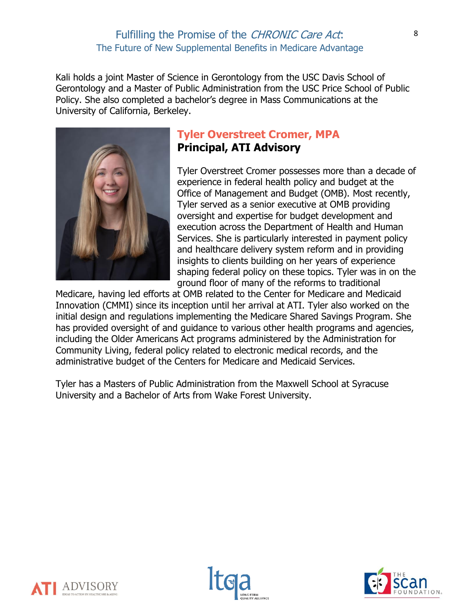Kali holds a joint Master of Science in Gerontology from the USC Davis School of Gerontology and a Master of Public Administration from the USC Price School of Public Policy. She also completed a bachelor's degree in Mass Communications at the University of California, Berkeley.



## **Tyler Overstreet Cromer, MPA Principal, ATI Advisory**

Tyler Overstreet Cromer possesses more than a decade of experience in federal health policy and budget at the Office of Management and Budget (OMB). Most recently, Tyler served as a senior executive at OMB providing oversight and expertise for budget development and execution across the Department of Health and Human Services. She is particularly interested in payment policy and healthcare delivery system reform and in providing insights to clients building on her years of experience shaping federal policy on these topics. Tyler was in on the ground floor of many of the reforms to traditional

Medicare, having led efforts at OMB related to the Center for Medicare and Medicaid Innovation (CMMI) since its inception until her arrival at ATI. Tyler also worked on the initial design and regulations implementing the Medicare Shared Savings Program. She has provided oversight of and guidance to various other health programs and agencies, including the Older Americans Act programs administered by the Administration for Community Living, federal policy related to electronic medical records, and the administrative budget of the Centers for Medicare and Medicaid Services.

Tyler has a Masters of Public Administration from the Maxwell School at Syracuse University and a Bachelor of Arts from Wake Forest University.





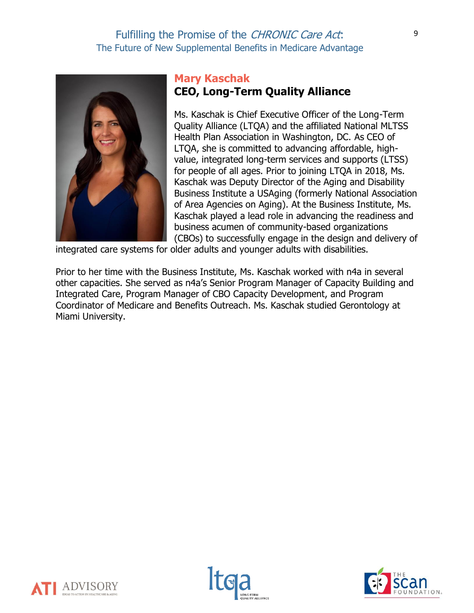

### **Mary Kaschak CEO, Long-Term Quality Alliance**

Ms. Kaschak is Chief Executive Officer of the Long-Term Quality Alliance (LTQA) and the affiliated National MLTSS Health Plan Association in Washington, DC. As CEO of LTQA, she is committed to advancing affordable, highvalue, integrated long-term services and supports (LTSS) for people of all ages. Prior to joining LTQA in 2018, Ms. Kaschak was Deputy Director of the Aging and Disability Business Institute a USAging (formerly National Association of Area Agencies on Aging). At the Business Institute, Ms. Kaschak played a lead role in advancing the readiness and business acumen of community-based organizations (CBOs) to successfully engage in the design and delivery of

integrated care systems for older adults and younger adults with disabilities.

Prior to her time with the Business Institute, Ms. Kaschak worked with n4a in several other capacities. She served as n4a's Senior Program Manager of Capacity Building and Integrated Care, Program Manager of CBO Capacity Development, and Program Coordinator of Medicare and Benefits Outreach. Ms. Kaschak studied Gerontology at Miami University.





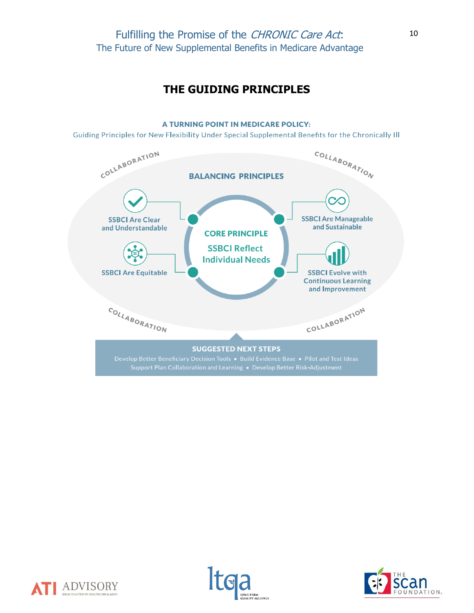### **THE GUIDING PRINCIPLES**

#### A TURNING POINT IN MEDICARE POLICY:

Guiding Principles for New Flexibility Under Special Supplemental Benefits for the Chronically III







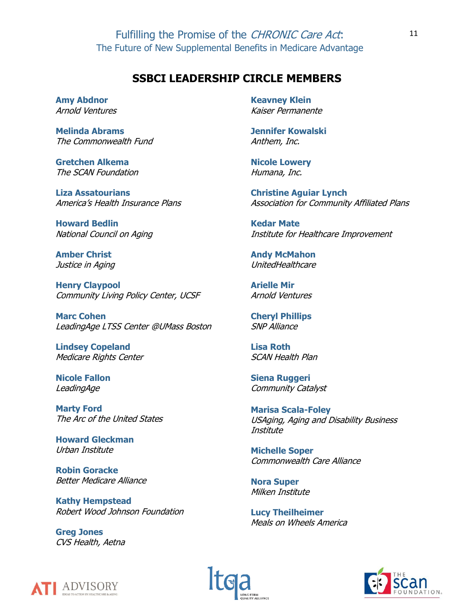#### **SSBCI LEADERSHIP CIRCLE MEMBERS**

**Amy Abdnor** Arnold Ventures

**Melinda Abrams** The Commonwealth Fund

**Gretchen Alkema** The SCAN Foundation

**Liza Assatourians** America's Health Insurance Plans

**Howard Bedlin** National Council on Aging

**Amber Christ** Justice in Aging

**Henry Claypool** Community Living Policy Center, UCSF

**Marc Cohen** LeadingAge LTSS Center @UMass Boston

**Lindsey Copeland** Medicare Rights Center

**Nicole Fallon** LeadingAge

**Marty Ford** The Arc of the United States

**Howard Gleckman** Urban Institute

**Robin Goracke** Better Medicare Alliance

**Kathy Hempstead** Robert Wood Johnson Foundation

**Greg Jones** CVS Health, Aetna **Keavney Klein** Kaiser Permanente

**Jennifer Kowalski** Anthem, Inc.

**Nicole Lowery** Humana, Inc.

**Christine Aguiar Lynch** Association for Community Affiliated Plans

**Kedar Mate** Institute for Healthcare Improvement

**Andy McMahon** UnitedHealthcare

**Arielle Mir** Arnold Ventures

**Cheryl Phillips** SNP Alliance

**Lisa Roth** SCAN Health Plan

**Siena Ruggeri** Community Catalyst

**Marisa Scala-Foley** USAging, Aging and Disability Business **Institute** 

**Michelle Soper** Commonwealth Care Alliance

**Nora Super** Milken Institute

**Lucy Theilheimer** Meals on Wheels America